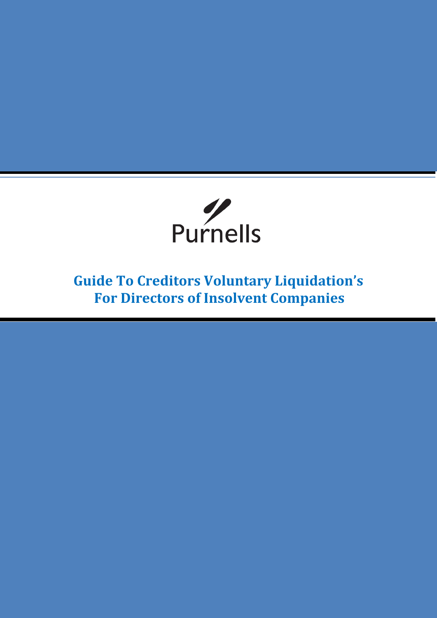

**Guide To Creditors Voluntary Liquidation's For Directors of Insolvent Companies**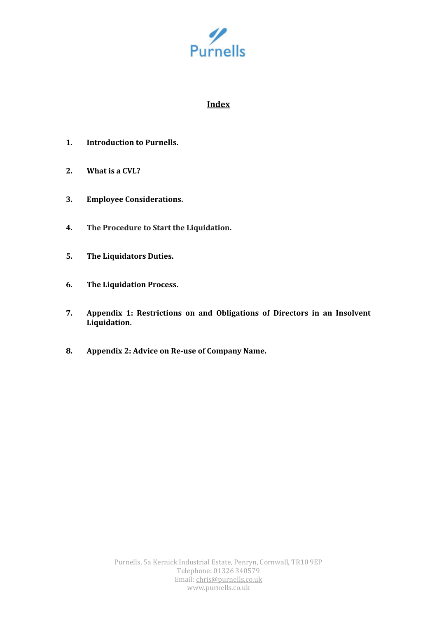

# **Index**

- **1. Introduction to Purnells.**
- **2. What is a CVL?**
- **3. Employee Considerations.**
- **4. The Procedure to Start the Liquidation.**
- **5. The Liquidators Duties.**
- **6. The Liquidation Process.**
- **7. Appendix 1: Restrictions on and Obligations of Directors in an Insolvent Liquidation.**
- **8. Appendix 2: Advice on Re-use of Company Name.**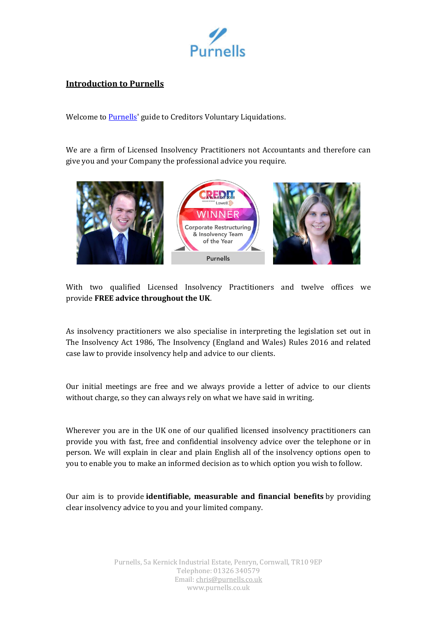

# **Introduction to Purnells**

Welcome to **Purnells'** guide to Creditors Voluntary Liquidations.

We are a firm of Licensed Insolvency Practitioners not Accountants and therefore can give you and your Company the professional advice you require.



With two qualified Licensed Insolvency Practitioners and twelve offices we provide **FREE advice throughout the UK**.

As insolvency practitioners we also specialise in interpreting the legislation set out in The Insolvency Act 1986, The Insolvency (England and Wales) Rules 2016 and related case law to provide insolvency help and advice to our clients.

Our initial meetings are free and we always provide a letter of advice to our clients without charge, so they can always rely on what we have said in writing.

Wherever you are in the UK one of our qualified licensed insolvency practitioners can provide you with fast, free and confidential insolvency advice over the telephone or in person. We will explain in clear and plain English all of the insolvency options open to you to enable you to make an informed decision as to which option you wish to follow.

Our aim is to provide **identifiable, measurable and financial benefits** by providing clear insolvency advice to you and your limited company.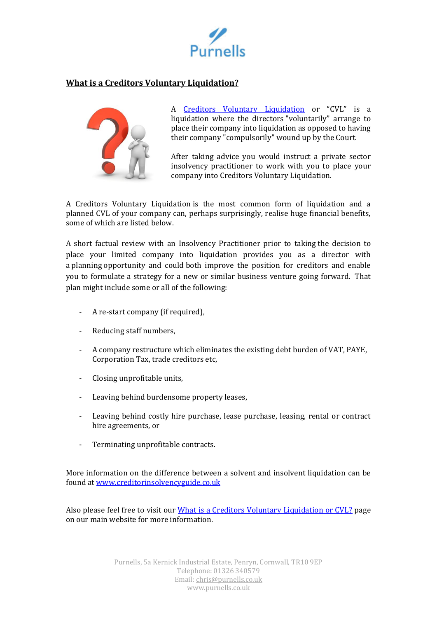

# **What is a Creditors Voluntary Liquidation?**



A [Creditors Voluntary Liquidation](https://www.purnells.co.uk/limited-company/creditors-voluntary-liquidations/what-is-a-Creditors-Voluntary-Liquidation) or "CVL" is a liquidation where the directors "voluntarily" arrange to place their company into liquidation as opposed to having their company "compulsorily" wound up by the Court.

After taking advice you would instruct a private sector insolvency practitioner to work with you to place your company into Creditors Voluntary Liquidation.

A Creditors Voluntary Liquidation is the most common form of liquidation and a planned CVL of your company can, perhaps surprisingly, realise huge financial benefits, some of which are listed below.

A short factual review with an Insolvency Practitioner prior to taking the decision to place your limited company into liquidation provides you as a director with a planning opportunity and could both improve the position for creditors and enable you to formulate a strategy for a new or similar business venture going forward. That plan might include some or all of the following:

- A re-start company (if required),
- Reducing staff numbers,
- A company restructure which eliminates the existing debt burden of VAT, PAYE, Corporation Tax, trade creditors etc,
- Closing unprofitable units,
- Leaving behind burdensome property leases,
- Leaving behind costly hire purchase, lease purchase, leasing, rental or contract hire agreements, or
- Terminating unprofitable contracts.

More information on the difference between a solvent and insolvent liquidation can be found at [www.creditorinsolvencyguide.co.uk](http://www.creditorinsolvencyguide.co.uk/)

Also please feel free to visit our [What is a Creditors Voluntary Liquidation or CVL?](https://www.purnells.co.uk/limited-company/creditors-voluntary-liquidations/what-is-a-Creditors-Voluntary-Liquidation) page on our main website for more information.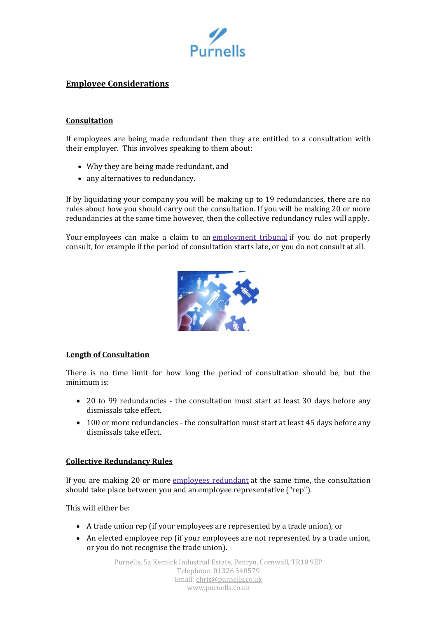

# **Employee Considerations**

### **Consultation**

If employees are being made redundant then they are entitled to a consultation with their employer. This involves speaking to them about:

- Why they are being made redundant, and
- any alternatives to redundancy.

If by liquidating your company you will be making up to 19 redundancies, there are no rules about how you should carry out the consultation. If you will be making 20 or more redundancies at the same time however, then the collective redundancy rules will apply.

Your employees can make a claim to an [employment](https://www.gov.uk/employment-tribunals) tribunal if you do not properly consult, for example if the period of consultation starts late, or you do not consult at all.



#### **Length of Consultation**

There is no time limit for how long the period of consultation should be, but the minimum is:

- 20 to 99 redundancies the consultation must start at least 30 days before any dismissals take effect.
- 100 or more redundancies the consultation must start at least 45 days before any dismissals take effect.

#### **Collective Redundancy Rules**

If you are making 20 or more [employees](https://www.gov.uk/employment-status/employee) redundant at the same time, the consultation should take place between you and an employee representative ("rep").

This will either be:

- A trade union rep (if your employees are represented by a trade union), or
- An elected employee rep (if your employees are not represented by a trade union, or you do not recognise the trade union).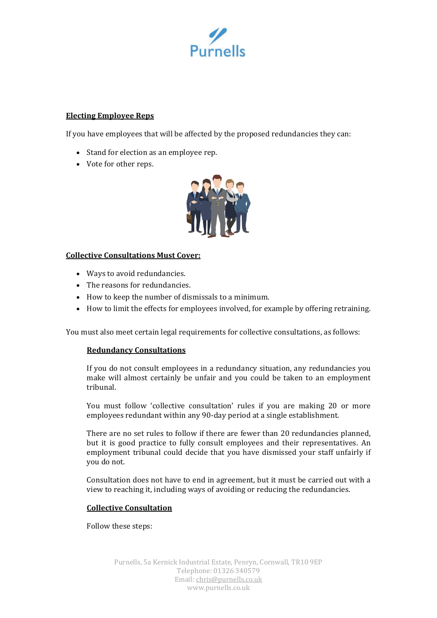

### **Electing Employee Reps**

If you have employees that will be affected by the proposed redundancies they can:

- Stand for election as an employee rep.
- Vote for other reps.



# **Collective Consultations Must Cover:**

- Ways to avoid redundancies.
- The reasons for redundancies.
- How to keep the number of dismissals to a minimum.
- How to limit the effects for employees involved, for example by offering retraining.

You must also meet certain legal requirements for collective consultations, as follows:

# **Redundancy Consultations**

If you do not consult employees in a redundancy situation, any redundancies you make will almost certainly be unfair and you could be taken to an employment tribunal.

You must follow 'collective consultation' rules if you are making 20 or more employees redundant within any 90-day period at a single establishment.

There are no set rules to follow if there are fewer than 20 redundancies planned, but it is good practice to fully consult employees and their representatives. An employment tribunal could decide that you have dismissed your staff unfairly if you do not.

Consultation does not have to end in agreement, but it must be carried out with a view to reaching it, including ways of avoiding or reducing the redundancies.

#### **Collective Consultation**

Follow these steps: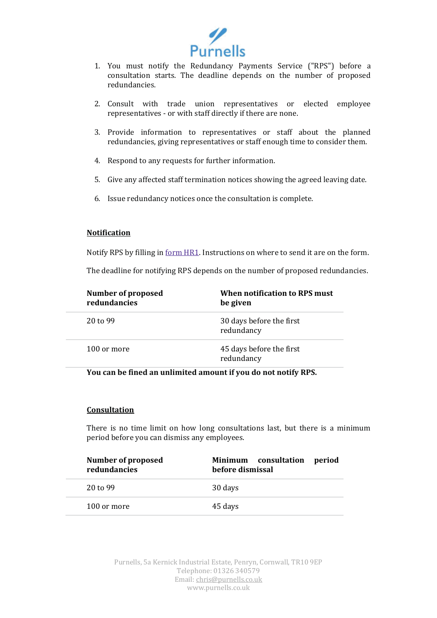

- 1. You must notify the Redundancy Payments Service ("RPS") before a consultation starts. The deadline depends on the number of proposed redundancies.
- 2. Consult with trade union representatives or elected employee representatives - or with staff directly if there are none.
- 3. Provide information to representatives or staff about the planned redundancies, giving representatives or staff enough time to consider them.
- 4. Respond to any requests for further information.
- 5. Give any affected staff termination notices showing the agreed leaving date.
- 6. Issue redundancy notices once the consultation is complete.

#### **Notification**

Notify RPS by filling in form [HR1.](https://www.gov.uk/government/publications/redundancy-payments-form-hr1-advance-notification-of-redundancies) Instructions on where to send it are on the form.

The deadline for notifying RPS depends on the number of proposed redundancies.

| <b>Number of proposed</b><br>redundancies | When notification to RPS must<br>be given |
|-------------------------------------------|-------------------------------------------|
| $20 \text{ to } 99$                       | 30 days before the first<br>redundancy    |
| 100 or more                               | 45 days before the first<br>redundancy    |

#### **You can be fined an unlimited amount if you do not notify RPS.**

#### **Consultation**

There is no time limit on how long consultations last, but there is a minimum period before you can dismiss any employees.

| <b>Number of proposed</b><br>redundancies | consultation<br>Minimum<br>period<br>before dismissal |
|-------------------------------------------|-------------------------------------------------------|
| 20 to 99                                  | 30 days                                               |
| 100 or more                               | 45 days                                               |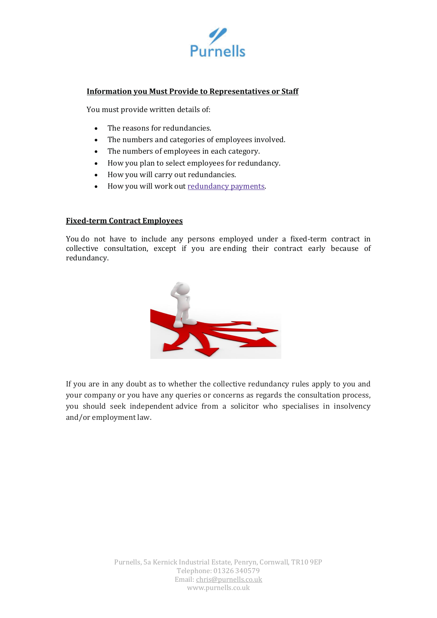

# **Information you Must Provide to Representatives or Staff**

You must provide written details of:

- The reasons for redundancies.
- The numbers and categories of employees involved.
- The numbers of employees in each category.
- How you plan to select employees for redundancy.
- How you will carry out redundancies.
- How you will work out [redundancy](https://www.gov.uk/staff-redundant/redundancy-pay) payments.

### **Fixed-term Contract Employees**

You do not have to include any persons employed under a fixed-term contract in collective consultation, except if you are ending their contract early because of redundancy.



If you are in any doubt as to whether the collective redundancy rules apply to you and your company or you have any queries or concerns as regards the consultation process, you should seek independent advice from a solicitor who specialises in insolvency and/or employment law.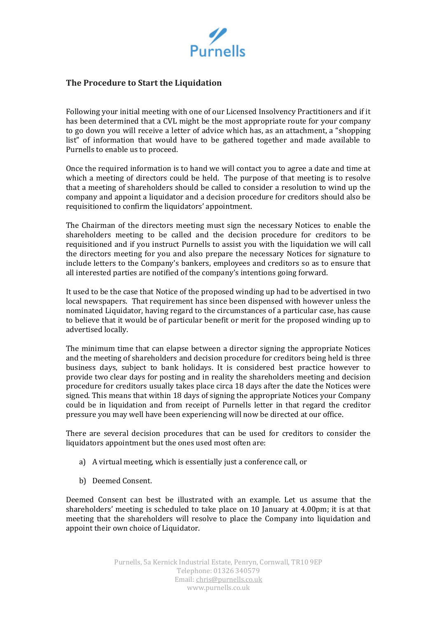

# **The Procedure to Start the Liquidation**

Following your initial meeting with one of our Licensed Insolvency Practitioners and if it has been determined that a CVL might be the most appropriate route for your company to go down you will receive a letter of advice which has, as an attachment, a "shopping list" of information that would have to be gathered together and made available to Purnells to enable us to proceed.

Once the required information is to hand we will contact you to agree a date and time at which a meeting of directors could be held. The purpose of that meeting is to resolve that a meeting of shareholders should be called to consider a resolution to wind up the company and appoint a liquidator and a decision procedure for creditors should also be requisitioned to confirm the liquidators' appointment.

The Chairman of the directors meeting must sign the necessary Notices to enable the shareholders meeting to be called and the decision procedure for creditors to be requisitioned and if you instruct Purnells to assist you with the liquidation we will call the directors meeting for you and also prepare the necessary Notices for signature to include letters to the Company's bankers, employees and creditors so as to ensure that all interested parties are notified of the company's intentions going forward.

It used to be the case that Notice of the proposed winding up had to be advertised in two local newspapers. That requirement has since been dispensed with however unless the nominated Liquidator, having regard to the circumstances of a particular case, has cause to believe that it would be of particular benefit or merit for the proposed winding up to advertised locally.

The minimum time that can elapse between a director signing the appropriate Notices and the meeting of shareholders and decision procedure for creditors being held is three business days, subject to bank holidays. It is considered best practice however to provide two clear days for posting and in reality the shareholders meeting and decision procedure for creditors usually takes place circa 18 days after the date the Notices were signed. This means that within 18 days of signing the appropriate Notices your Company could be in liquidation and from receipt of Purnells letter in that regard the creditor pressure you may well have been experiencing will now be directed at our office.

There are several decision procedures that can be used for creditors to consider the liquidators appointment but the ones used most often are:

- a) A virtual meeting, which is essentially just a conference call, or
- b) Deemed Consent.

Deemed Consent can best be illustrated with an example. Let us assume that the shareholders' meeting is scheduled to take place on 10 January at 4.00pm; it is at that meeting that the shareholders will resolve to place the Company into liquidation and appoint their own choice of Liquidator.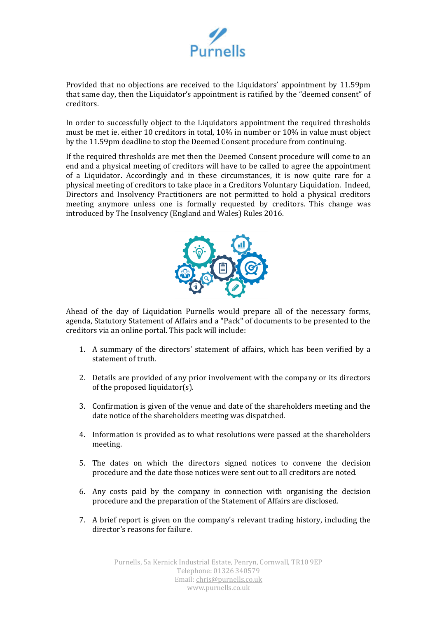

Provided that no objections are received to the Liquidators' appointment by 11.59pm that same day, then the Liquidator's appointment is ratified by the "deemed consent" of creditors.

In order to successfully object to the Liquidators appointment the required thresholds must be met ie. either 10 creditors in total, 10% in number or 10% in value must object by the 11.59pm deadline to stop the Deemed Consent procedure from continuing.

If the required thresholds are met then the Deemed Consent procedure will come to an end and a physical meeting of creditors will have to be called to agree the appointment of a Liquidator. Accordingly and in these circumstances, it is now quite rare for a physical meeting of creditors to take place in a Creditors Voluntary Liquidation. Indeed, Directors and Insolvency Practitioners are not permitted to hold a physical creditors meeting anymore unless one is formally requested by creditors. This change was introduced by The Insolvency (England and Wales) Rules 2016.



Ahead of the day of Liquidation Purnells would prepare all of the necessary forms, agenda, Statutory Statement of Affairs and a "Pack" of documents to be presented to the creditors via an online portal. This pack will include:

- 1. A summary of the directors' statement of affairs, which has been verified by a statement of truth.
- 2. Details are provided of any prior involvement with the company or its directors of the proposed liquidator(s).
- 3. Confirmation is given of the venue and date of the shareholders meeting and the date notice of the shareholders meeting was dispatched.
- 4. Information is provided as to what resolutions were passed at the shareholders meeting.
- 5. The dates on which the directors signed notices to convene the decision procedure and the date those notices were sent out to all creditors are noted.
- 6. Any costs paid by the company in connection with organising the decision procedure and the preparation of the Statement of Affairs are disclosed.
- 7. A brief report is given on the company's relevant trading history, including the director's reasons for failure.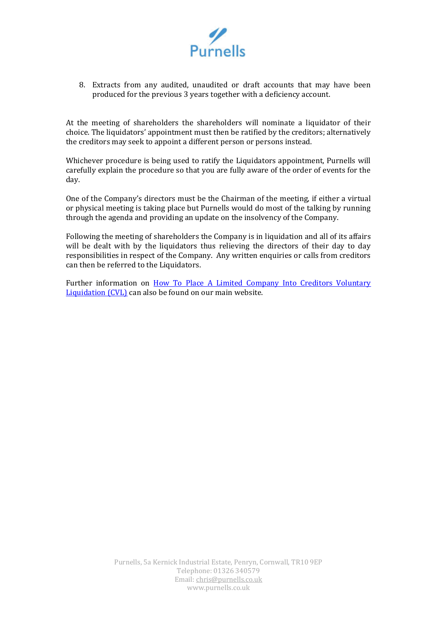

8. Extracts from any audited, unaudited or draft accounts that may have been produced for the previous 3 years together with a deficiency account.

At the meeting of shareholders the shareholders will nominate a liquidator of their choice. The liquidators' appointment must then be ratified by the creditors; alternatively the creditors may seek to appoint a different person or persons instead.

Whichever procedure is being used to ratify the Liquidators appointment, Purnells will carefully explain the procedure so that you are fully aware of the order of events for the day.

One of the Company's directors must be the Chairman of the meeting, if either a virtual or physical meeting is taking place but Purnells would do most of the talking by running through the agenda and providing an update on the insolvency of the Company.

Following the meeting of shareholders the Company is in liquidation and all of its affairs will be dealt with by the liquidators thus relieving the directors of their day to day responsibilities in respect of the Company. Any written enquiries or calls from creditors can then be referred to the Liquidators.

Further information on [How To Place A Limited Company Into Creditors Voluntary](https://www.purnells.co.uk/limited-company/creditors-voluntary-liquidations/procedure)  [Liquidation \(CVL\)](https://www.purnells.co.uk/limited-company/creditors-voluntary-liquidations/procedure) can also be found on our main website.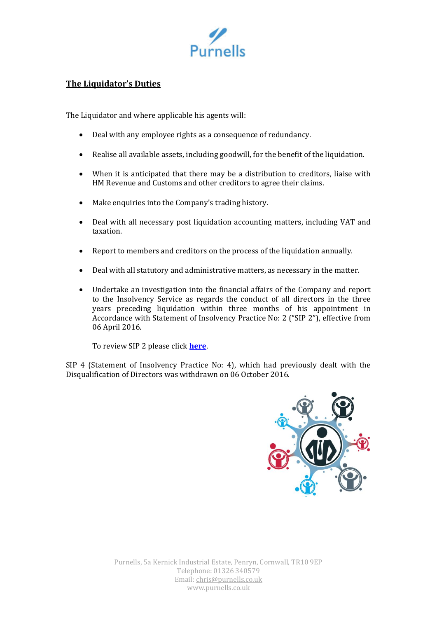

# **The Liquidator's Duties**

The Liquidator and where applicable his agents will:

- Deal with any employee rights as a consequence of redundancy.
- Realise all available assets, including goodwill, for the benefit of the liquidation.
- When it is anticipated that there may be a distribution to creditors, liaise with HM Revenue and Customs and other creditors to agree their claims.
- Make enquiries into the Company's trading history.
- Deal with all necessary post liquidation accounting matters, including VAT and taxation.
- Report to members and creditors on the process of the liquidation annually.
- Deal with all statutory and administrative matters, as necessary in the matter.
- Undertake an investigation into the financial affairs of the Company and report to the Insolvency Service as regards the conduct of all directors in the three years preceding liquidation within three months of his appointment in Accordance with Statement of Insolvency Practice No: 2 ("SIP 2"), effective from 06 April 2016.

To review SIP 2 please click **[here](https://www.purnells.co.uk/Media/95_Original_SIP-2_b95a47.pdf)**.

SIP 4 (Statement of Insolvency Practice No: 4), which had previously dealt with the Disqualification of Directors was withdrawn on 06 October 2016.

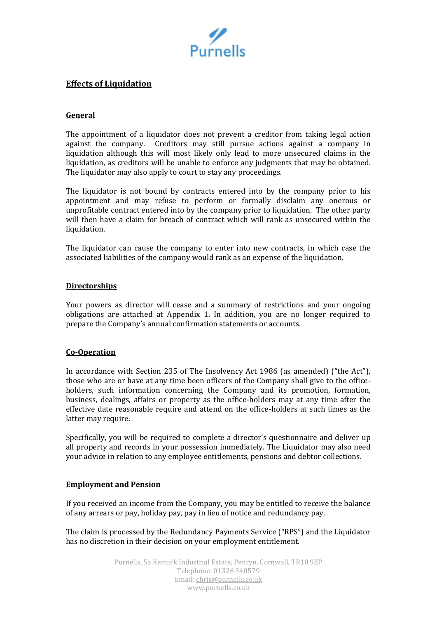

# **Effects of Liquidation**

### **General**

The appointment of a liquidator does not prevent a creditor from taking legal action against the company. Creditors may still pursue actions against a company in liquidation although this will most likely only lead to more unsecured claims in the liquidation, as creditors will be unable to enforce any judgments that may be obtained. The liquidator may also apply to court to stay any proceedings.

The liquidator is not bound by contracts entered into by the company prior to his appointment and may refuse to perform or formally disclaim any onerous or unprofitable contract entered into by the company prior to liquidation. The other party will then have a claim for breach of contract which will rank as unsecured within the liquidation.

The liquidator can cause the company to enter into new contracts, in which case the associated liabilities of the company would rank as an expense of the liquidation.

#### **Directorships**

Your powers as director will cease and a summary of restrictions and your ongoing obligations are attached at Appendix 1. In addition, you are no longer required to prepare the Company's annual confirmation statements or accounts.

#### **Co-Operation**

In accordance with Section 235 of The Insolvency Act 1986 (as amended) ("the Act"), those who are or have at any time been officers of the Company shall give to the officeholders, such information concerning the Company and its promotion, formation, business, dealings, affairs or property as the office-holders may at any time after the effective date reasonable require and attend on the office-holders at such times as the latter may require.

Specifically, you will be required to complete a director's questionnaire and deliver up all property and records in your possession immediately. The Liquidator may also need your advice in relation to any employee entitlements, pensions and debtor collections.

# **Employment and Pension**

If you received an income from the Company, you may be entitled to receive the balance of any arrears or pay, holiday pay, pay in lieu of notice and redundancy pay.

The claim is processed by the Redundancy Payments Service ("RPS") and the Liquidator has no discretion in their decision on your employment entitlement.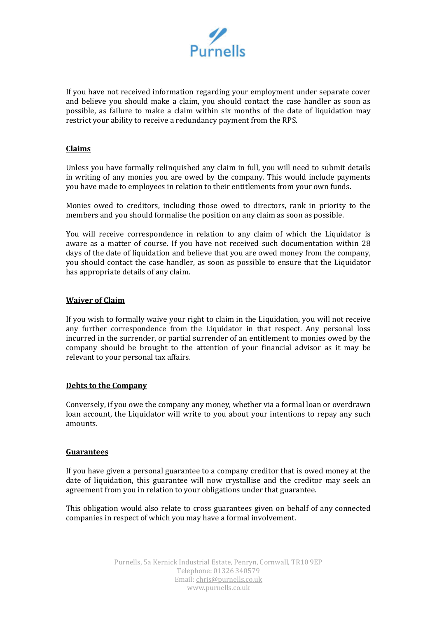

If you have not received information regarding your employment under separate cover and believe you should make a claim, you should contact the case handler as soon as possible, as failure to make a claim within six months of the date of liquidation may restrict your ability to receive a redundancy payment from the RPS.

### **Claims**

Unless you have formally relinquished any claim in full, you will need to submit details in writing of any monies you are owed by the company. This would include payments you have made to employees in relation to their entitlements from your own funds.

Monies owed to creditors, including those owed to directors, rank in priority to the members and you should formalise the position on any claim as soon as possible.

You will receive correspondence in relation to any claim of which the Liquidator is aware as a matter of course. If you have not received such documentation within 28 days of the date of liquidation and believe that you are owed money from the company, you should contact the case handler, as soon as possible to ensure that the Liquidator has appropriate details of any claim.

#### **Waiver of Claim**

If you wish to formally waive your right to claim in the Liquidation, you will not receive any further correspondence from the Liquidator in that respect. Any personal loss incurred in the surrender, or partial surrender of an entitlement to monies owed by the company should be brought to the attention of your financial advisor as it may be relevant to your personal tax affairs.

#### **Debts to the Company**

Conversely, if you owe the company any money, whether via a formal loan or overdrawn loan account, the Liquidator will write to you about your intentions to repay any such amounts.

#### **Guarantees**

If you have given a personal guarantee to a company creditor that is owed money at the date of liquidation, this guarantee will now crystallise and the creditor may seek an agreement from you in relation to your obligations under that guarantee.

This obligation would also relate to cross guarantees given on behalf of any connected companies in respect of which you may have a formal involvement.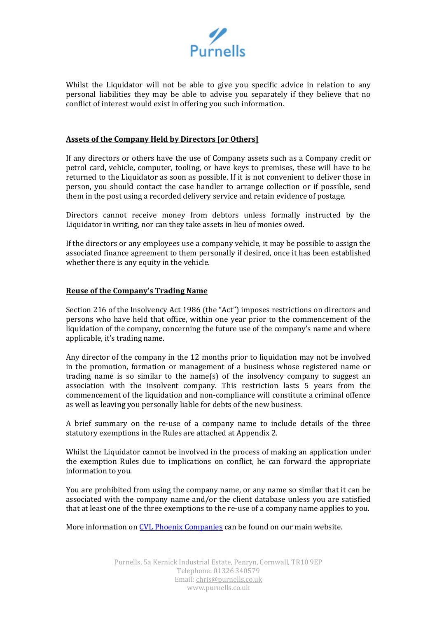

Whilst the Liquidator will not be able to give you specific advice in relation to any personal liabilities they may be able to advise you separately if they believe that no conflict of interest would exist in offering you such information.

#### **Assets of the Company Held by Directors [or Others]**

If any directors or others have the use of Company assets such as a Company credit or petrol card, vehicle, computer, tooling, or have keys to premises, these will have to be returned to the Liquidator as soon as possible. If it is not convenient to deliver those in person, you should contact the case handler to arrange collection or if possible, send them in the post using a recorded delivery service and retain evidence of postage.

Directors cannot receive money from debtors unless formally instructed by the Liquidator in writing, nor can they take assets in lieu of monies owed.

If the directors or any employees use a company vehicle, it may be possible to assign the associated finance agreement to them personally if desired, once it has been established whether there is any equity in the vehicle.

#### **Reuse of the Company's Trading Name**

Section 216 of the Insolvency Act 1986 (the "Act") imposes restrictions on directors and persons who have held that office, within one year prior to the commencement of the liquidation of the company, concerning the future use of the company's name and where applicable, it's trading name.

Any director of the company in the 12 months prior to liquidation may not be involved in the promotion, formation or management of a business whose registered name or trading name is so similar to the name(s) of the insolvency company to suggest an association with the insolvent company. This restriction lasts 5 years from the commencement of the liquidation and non-compliance will constitute a criminal offence as well as leaving you personally liable for debts of the new business.

A brief summary on the re-use of a company name to include details of the three statutory exemptions in the Rules are attached at Appendix 2.

Whilst the Liquidator cannot be involved in the process of making an application under the exemption Rules due to implications on conflict, he can forward the appropriate information to you.

You are prohibited from using the company name, or any name so similar that it can be associated with the company name and/or the client database unless you are satisfied that at least one of the three exemptions to the re-use of a company name applies to you.

More information on [CVL Phoenix Companies](https://www.purnells.co.uk/limited-company/creditors-voluntary-liquidations/phoenix-companies) can be found on our main website.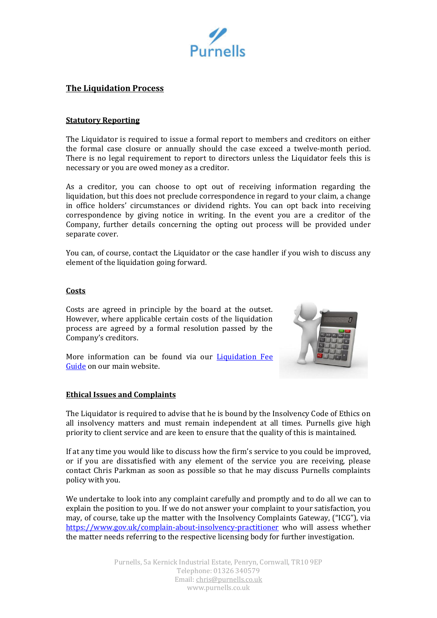

# **The Liquidation Process**

#### **Statutory Reporting**

The Liquidator is required to issue a formal report to members and creditors on either the formal case closure or annually should the case exceed a twelve-month period. There is no legal requirement to report to directors unless the Liquidator feels this is necessary or you are owed money as a creditor.

As a creditor, you can choose to opt out of receiving information regarding the liquidation, but this does not preclude correspondence in regard to your claim, a change in office holders' circumstances or dividend rights. You can opt back into receiving correspondence by giving notice in writing. In the event you are a creditor of the Company, further details concerning the opting out process will be provided under separate cover.

You can, of course, contact the Liquidator or the case handler if you wish to discuss any element of the liquidation going forward.

#### **Costs**

Costs are agreed in principle by the board at the outset. However, where applicable certain costs of the liquidation process are agreed by a formal resolution passed by the Company's creditors.



More information can be found via our **Liquidation Fee** [Guide](https://www.purnells.co.uk/limited-company/creditors-voluntary-liquidations/Liquidation-Creditors-Fee-Guide) on our main website.

#### **Ethical Issues and Complaints**

The Liquidator is required to advise that he is bound by the Insolvency Code of Ethics on all insolvency matters and must remain independent at all times. Purnells give high priority to client service and are keen to ensure that the quality of this is maintained.

If at any time you would like to discuss how the firm's service to you could be improved, or if you are dissatisfied with any element of the service you are receiving, please contact Chris Parkman as soon as possible so that he may discuss Purnells complaints policy with you.

We undertake to look into any complaint carefully and promptly and to do all we can to explain the position to you. If we do not answer your complaint to your satisfaction, you may, of course, take up the matter with the Insolvency Complaints Gateway, ("ICG"), via <https://www.gov.uk/complain-about-insolvency-practitioner> who will assess whether the matter needs referring to the respective licensing body for further investigation.

> Purnells, 5a Kernick Industrial Estate, Penryn, Cornwall, TR10 9EP Telephone: 01326 340579 Email: chris@purnells.co.uk www.purnells.co.uk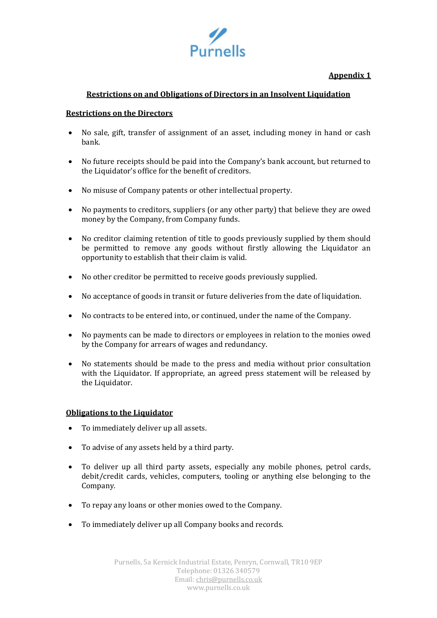

# **Appendix 1**

# **Restrictions on and Obligations of Directors in an Insolvent Liquidation**

### **Restrictions on the Directors**

- No sale, gift, transfer of assignment of an asset, including money in hand or cash bank.
- No future receipts should be paid into the Company's bank account, but returned to the Liquidator's office for the benefit of creditors.
- No misuse of Company patents or other intellectual property.
- No payments to creditors, suppliers (or any other party) that believe they are owed money by the Company, from Company funds.
- No creditor claiming retention of title to goods previously supplied by them should be permitted to remove any goods without firstly allowing the Liquidator an opportunity to establish that their claim is valid.
- No other creditor be permitted to receive goods previously supplied.
- No acceptance of goods in transit or future deliveries from the date of liquidation.
- No contracts to be entered into, or continued, under the name of the Company.
- No payments can be made to directors or employees in relation to the monies owed by the Company for arrears of wages and redundancy.
- No statements should be made to the press and media without prior consultation with the Liquidator. If appropriate, an agreed press statement will be released by the Liquidator.

# **Obligations to the Liquidator**

- To immediately deliver up all assets.
- To advise of any assets held by a third party.
- To deliver up all third party assets, especially any mobile phones, petrol cards, debit/credit cards, vehicles, computers, tooling or anything else belonging to the Company.
- To repay any loans or other monies owed to the Company.
- To immediately deliver up all Company books and records.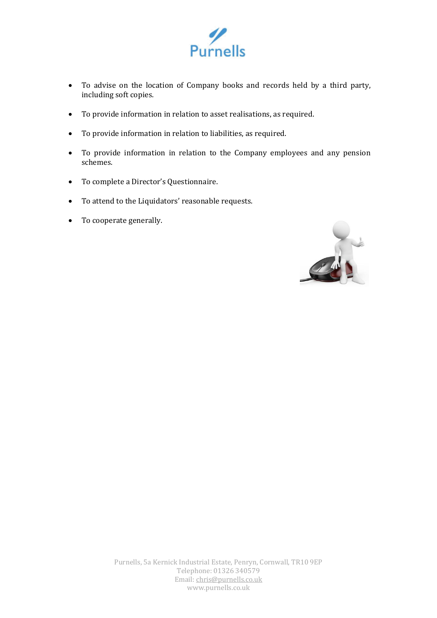

- To advise on the location of Company books and records held by a third party, including soft copies.
- To provide information in relation to asset realisations, as required.
- To provide information in relation to liabilities, as required.
- To provide information in relation to the Company employees and any pension schemes.
- To complete a Director's Questionnaire.
- To attend to the Liquidators' reasonable requests.
- To cooperate generally.

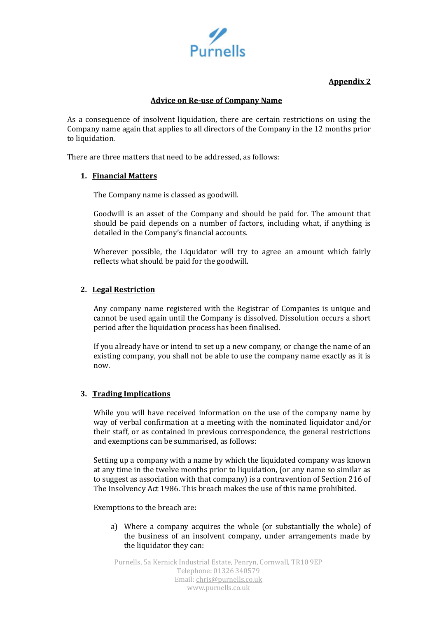

# **Appendix 2**

# **Advice on Re-use of Company Name**

As a consequence of insolvent liquidation, there are certain restrictions on using the Company name again that applies to all directors of the Company in the 12 months prior to liquidation.

There are three matters that need to be addressed, as follows:

# **1. Financial Matters**

The Company name is classed as goodwill.

Goodwill is an asset of the Company and should be paid for. The amount that should be paid depends on a number of factors, including what, if anything is detailed in the Company's financial accounts.

Wherever possible, the Liquidator will try to agree an amount which fairly reflects what should be paid for the goodwill.

### **2. Legal Restriction**

Any company name registered with the Registrar of Companies is unique and cannot be used again until the Company is dissolved. Dissolution occurs a short period after the liquidation process has been finalised.

If you already have or intend to set up a new company, or change the name of an existing company, you shall not be able to use the company name exactly as it is now.

#### **3. Trading Implications**

While you will have received information on the use of the company name by way of verbal confirmation at a meeting with the nominated liquidator and/or their staff, or as contained in previous correspondence, the general restrictions and exemptions can be summarised, as follows:

Setting up a company with a name by which the liquidated company was known at any time in the twelve months prior to liquidation, (or any name so similar as to suggest as association with that company) is a contravention of Section 216 of The Insolvency Act 1986. This breach makes the use of this name prohibited.

Exemptions to the breach are:

a) Where a company acquires the whole (or substantially the whole) of the business of an insolvent company, under arrangements made by the liquidator they can:

Purnells, 5a Kernick Industrial Estate, Penryn, Cornwall, TR10 9EP Telephone: 01326 340579 Email: chris@purnells.co.uk www.purnells.co.uk